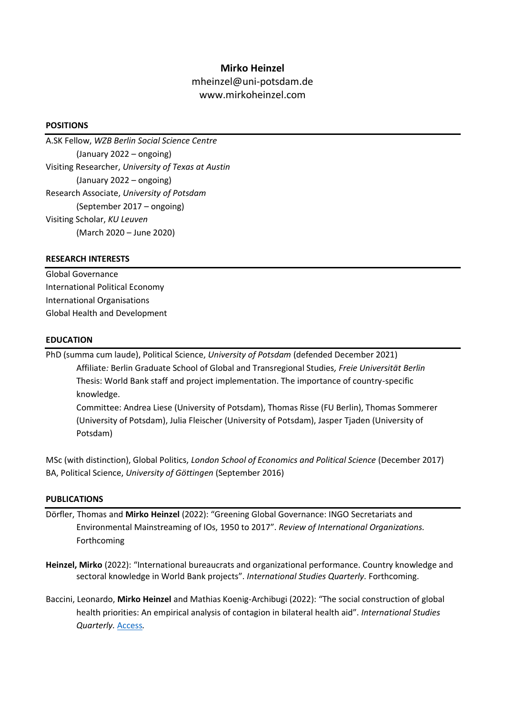# **Mirko Heinzel**

mheinzel@uni-potsdam.de www.mirkoheinzel.com

## **POSITIONS**

A.SK Fellow, *WZB Berlin Social Science Centre* (January 2022 – ongoing) Visiting Researcher, *University of Texas at Austin* (January 2022 – ongoing) Research Associate, *University of Potsdam* (September 2017 – ongoing) Visiting Scholar, *KU Leuven* (March 2020 – June 2020)

# **RESEARCH INTERESTS**

Global Governance International Political Economy International Organisations Global Health and Development

# **EDUCATION**

PhD (summa cum laude), Political Science, *University of Potsdam* (defended December 2021) Affiliate*:* Berlin Graduate School of Global and Transregional Studies*, Freie Universität Berlin* Thesis: World Bank staff and project implementation. The importance of country-specific knowledge.

Committee: Andrea Liese (University of Potsdam), Thomas Risse (FU Berlin), Thomas Sommerer (University of Potsdam), Julia Fleischer (University of Potsdam), Jasper Tjaden (University of Potsdam)

MSc (with distinction), Global Politics, *London School of Economics and Political Science* (December 2017) BA, Political Science, *University of Göttingen* (September 2016)

### **PUBLICATIONS**

- Dörfler, Thomas and **Mirko Heinzel** (2022): "Greening Global Governance: INGO Secretariats and Environmental Mainstreaming of IOs, 1950 to 2017". *Review of International Organizations.*  Forthcoming
- **Heinzel, Mirko** (2022): "International bureaucrats and organizational performance. Country knowledge and sectoral knowledge in World Bank projects". *International Studies Quarterly.* Forthcoming.
- Baccini, Leonardo, **Mirko Heinzel** and Mathias Koenig-Archibugi (2022): "The social construction of global health priorities: An empirical analysis of contagion in bilateral health aid". *International Studies Quarterly.* [Access](https://academic.oup.com/isq/advance-article/doi/10.1093/isq/sqab092/6473249?login=true)*.*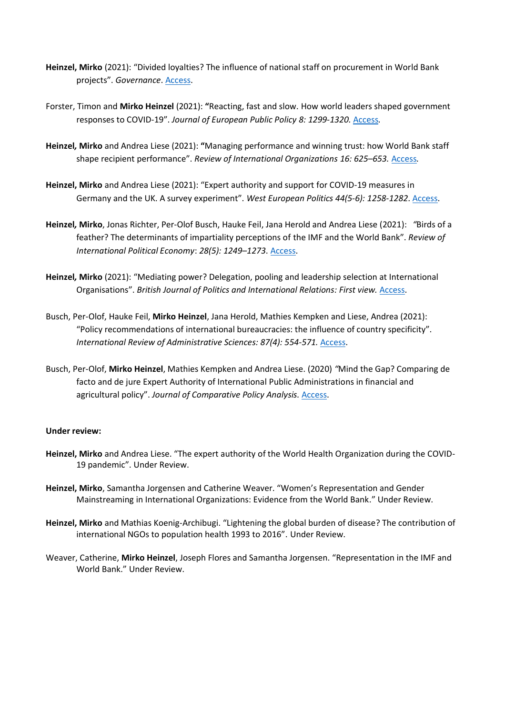- **Heinzel, Mirko** (2021): "Divided loyalties? The influence of national staff on procurement in World Bank projects". *Governance*. [Access.](https://onlinelibrary.wiley.com/doi/full/10.1111/gove.12650)
- Forster, Timon and **Mirko Heinzel** (2021): **"**Reacting, fast and slow. How world leaders shaped government responses to COVID-19". *Journal of European Public Policy 8: 1299-1320.* [Access](https://www.tandfonline.com/doi/full/10.1080/13501763.2021.1942157?scroll=top&needAccess=true)*.*
- **Heinzel***,* **Mirko** and Andrea Liese (2021): **"**Managing performance and winning trust: how World Bank staff shape recipient performance". *Review of International Organizations 16: 625–653.* [Access](https://link.springer.com/article/10.1007/s11558-021-09414-4)*.*
- **Heinzel, Mirko** and Andrea Liese (2021): "Expert authority and support for COVID-19 measures in Germany and the UK. A survey experiment". *West European Politics 44(5-6): 1258-1282*. [Access.](https://www.tandfonline.com/doi/full/10.1080/01402382.2021.1873630)
- **Heinzel***,* **Mirko**, Jonas Richter, Per-Olof Busch, Hauke Feil, Jana Herold and Andrea Liese (2021): *"*Birds of a feather? The determinants of impartiality perceptions of the IMF and the World Bank". *Review of International Political Economy*: *28(5): 1249–1273*. [Access.](https://www.tandfonline.com/doi/full/10.1080/09692290.2020.1749711?scroll=top&needAccess=true)
- **Heinzel***,* **Mirko** (2021): "Mediating power? Delegation, pooling and leadership selection at International Organisations". *British Journal of Politics and International Relations: First view. [Access.](https://journals.sagepub.com/doi/abs/10.1177/1369148121992761?journalCode=bpia)*
- Busch, Per-Olof, Hauke Feil, **Mirko Heinzel**, Jana Herold, Mathies Kempken and Liese, Andrea (2021): "Policy recommendations of international bureaucracies: the influence of country specificity". *International Review of Administrative Sciences: 87(4): 554-571.* [Access.](https://journals.sagepub.com/doi/abs/10.1177/00208523211013385)
- Busch, Per-Olof, **Mirko Heinzel**, Mathies Kempken and Andrea Liese. (2020) *"*Mind the Gap? Comparing de facto and de jure Expert Authority of International Public Administrations in financial and agricultural policy". *Journal of Comparative Policy Analysis.* [Access.](https://www.tandfonline.com/doi/full/10.1080/13876988.2020.1820866)

### **Under review:**

- **Heinzel, Mirko** and Andrea Liese. "The expert authority of the World Health Organization during the COVID-19 pandemic". Under Review.
- **Heinzel, Mirko**, Samantha Jorgensen and Catherine Weaver. "Women's Representation and Gender Mainstreaming in International Organizations: Evidence from the World Bank." Under Review.
- **Heinzel, Mirko** and Mathias Koenig-Archibugi. "Lightening the global burden of disease? The contribution of international NGOs to population health 1993 to 2016". Under Review.
- Weaver, Catherine, **Mirko Heinzel**, Joseph Flores and Samantha Jorgensen. "Representation in the IMF and World Bank." Under Review.